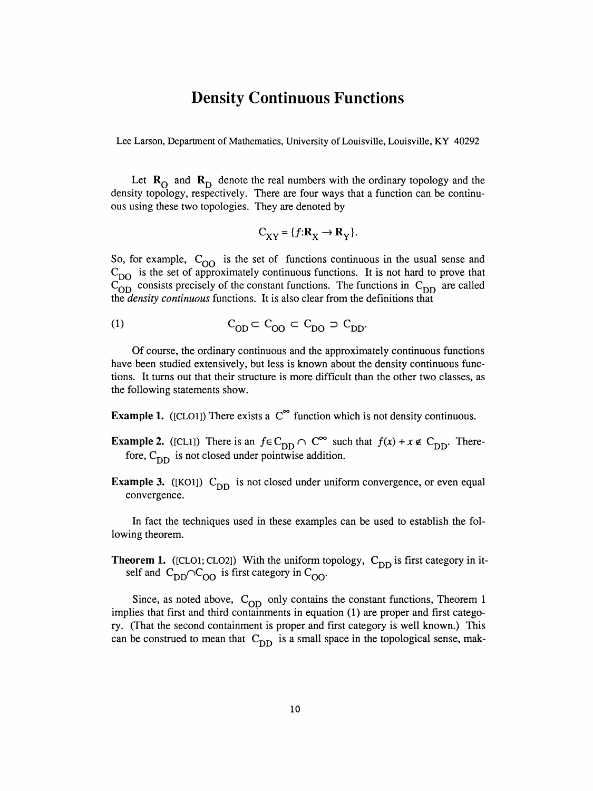## Density Continuous Functions

Lee Larson, Department of Mathematics, University of Louisville, Louisville, KY 40292

Let  $R_0$  and  $R_D$  denote the real numbers with the ordinary topology and the density topology, respectively. There are four ways that a function can be continu ous using these two topologies. They are denoted by

$$
C_{XY} = \{ f: \mathbf{R}_X \to \mathbf{R}_Y \}.
$$

So, for example,  $C_{OO}$  is the set of functions continuous in the usual sense and  $C_{\text{DO}}$  is the set of approximately continuous functions. It is not hard to prove that  $\overline{C_{OD}}$  consists precisely of the constant functions. The functions in  $C_{DD}$  are called the density continuous functions. It is also clear from the definitions that

$$
C_{OD} \subset C_{OO} \subset C_{DO} \supset C_{DD}.
$$

 Of course, the ordinary continuous and the approximately continuous functions have been studied extensively, but less is known about the density continuous func tions. It turns out that their structure is more difficult than the other two classes, as the following statements show.

**Example 1.** ([CLO1]) There exists a  $C^{\infty}$  function which is not density continuous.

- **Example 2.** ([CL1]) There is an  $f \in C_{DD} \cap C^{\infty}$  such that  $f(x) + x \notin C_{DD}$ . Therefore,  $C_{DD}$  is not closed under pointwise addition.
- Example 3. ( $[KO1]$ ) C<sub>DD</sub> is not closed under uniform convergence, or even equal convergence.

 In fact the techniques used in these examples can be used to establish the fol lowing theorem.

**Theorem 1.** ([CLO1; CLO2]) With the uniform topology,  $C_{DD}$  is first category in itself and  $C_{DD} \cap C_{OO}$  is first category in  $C_{OO}$ .

Since, as noted above,  $C_{OD}$  only contains the constant functions, Theorem 1 implies that first and third containments in equation (1) are proper and first catego ry. (That the second containment is proper and first category is well known.) This can be construed to mean that  $C_{DD}$  is a small space in the topological sense, mak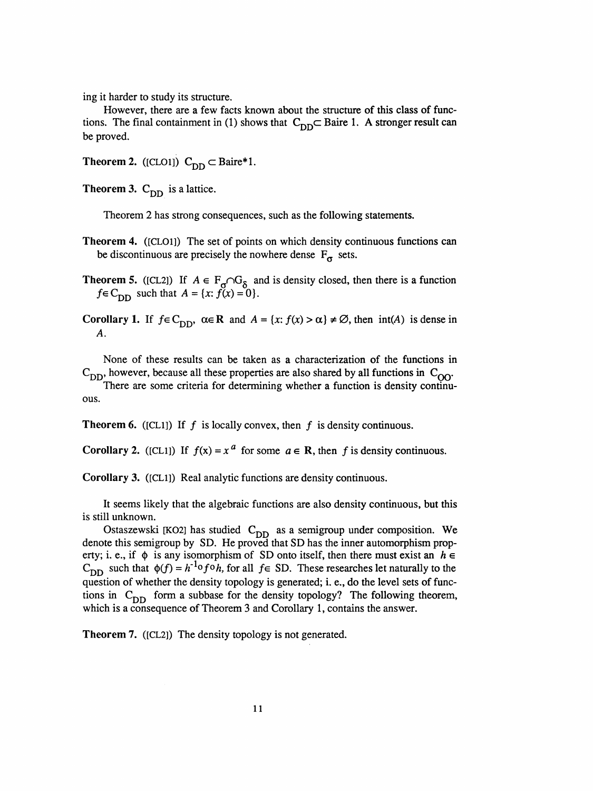ing it harder to study its structure.

 However, there are a few facts known about the structure of this class of func tions. The final containment in (1) shows that  $C_{DD} \subset$  Baire 1. A stronger result can be proved.

Theorem 2. ([CLO1])  $C_{DD} \subset Baire*1$ .

**Theorem 3.**  $C_{DD}$  is a lattice.

Theorem 2 has strong consequences, such as the following statements.

- Theorem 4. ([CLOl]) The set of points on which density continuous functions can be discontinuous are precisely the nowhere dense  $F_{\sigma}$  sets.
- Theorem 5. ( $[CL2]$ ) If  $A \in T_{\sigma}$  is a function of the fact is a function of  $T_{\sigma}$  $f = c_{DD}$  such that  $A = \{x: f(x) = 0\}$
- Corollary 1. If  $f \in C_{DD}$ ,  $\alpha \in \mathbb{R}$  and  $A = \{x : f(x) > \alpha\} \neq \emptyset$ , then  $int(A)$  is dense in A.

 None of these results can be taken as a characterization of the functions in  $C_{DD}$ , however, because all these properties are also shared by all functions in  $C_{OO}$ .

 There are some criteria for determining whether a function is density continu ous.

**Theorem 6.** ([CL1]) If f is locally convex, then f is density continuous.

Corollary 2. ([CL1]) If  $f(x) = x^a$  for some  $a \in \mathbb{R}$ , then f is density continuous.

Corollary 3. ([CLl]) Real analytic functions are density continuous.

 It seems likely that the algebraic functions are also density continuous, but this is still unknown.

Ostaszewski [KO2] has studied  $C_{DD}$  as a semigroup under composition. We denote this semigroup by SD. He proved that SD has the inner automorphism property; i. e., if  $\phi$  is any isomorphism of SD onto itself, then there must exist an  $h \in$  $C_{DD}$  such that  $\phi(f) = h^{-1} \circ f \circ h$ , for all  $f \in SD$ . These researches let naturally to the question of whether the density topology is generated; i. e., do the level sets of func tions in  $C_{DD}$  form a subbase for the density topology? The following theorem, which is a consequence of Theorem 3 and Corollary 1, contains the answer.

Theorem 7. ([CL2]) The density topology is not generated.